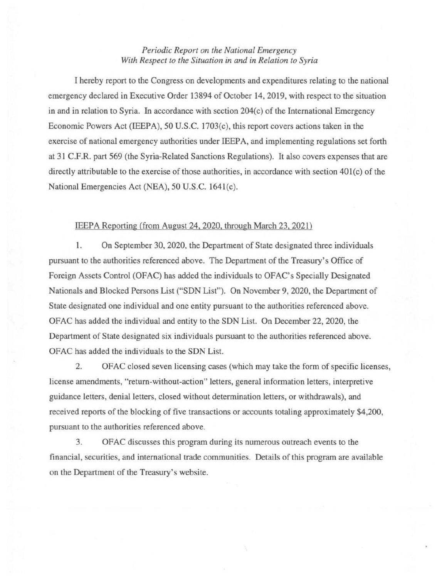## *Periodic Report on the National Emergency With Respect to the Situation in and in Relation to Syria*

I hereby report to the Congress on developments and expenditures relating to the national emergency declared in Executive Order 13894 of October 14,2019, with respect to the situation in and in relation to Syria. In accordance with section 204(c) of the International Emergency Economic Powers Act (IEEPA), 50 U.S.C. 1703(c), this report covers actions taken in the exercise of national emergency authorities under IEEP A, and implementing regulations set forth at 31 C.F.R. part 569 (the Syria-Related Sanctions Regulations). It also covers expenses that are directly attributable to the exercise of those authorities, in accordance with section 401(c) of the National Emergencies Act (NEA), 50 U.S.C. 164l(c).

## IEEPA Reporting (from August 24, 2020, through March 23, 2021)

1. On September 30, 2020, the Department of State designated three individuals pursuant to the authorities referenced above. The Department of the Treasury's Office of Foreign Assets Control (OFAC) has added the individuals to OFAC's Specially Designated Nationals and Blocked Persons List ("SDN List"). On November 9, 2020, the Department of State designated one individual and one entity pursuant to the authorities referenced above. OFAC has added the individual and entity to the SDN List. On December 22, 2020, the Department of State designated six individuals pursuant to the authorities referenced above. OFAC has added the individuals to the SDN List.

2. OFAC closed seven licensing cases (which may take the form of specific licenses, license amendments, "return-without-action" letters, general information letters, interpretive guidance letters, denial letters, closed without determination letters, or withdrawals), and received reports of the blocking of five transactions or accounts totaling approximately \$4,200, pursuant to the authorities referenced above.

3. OFAC discusses this program during its numerous outreach events to the financial, securities, and international trade communities. Details of this program are available on the Department of the Treasury's website.